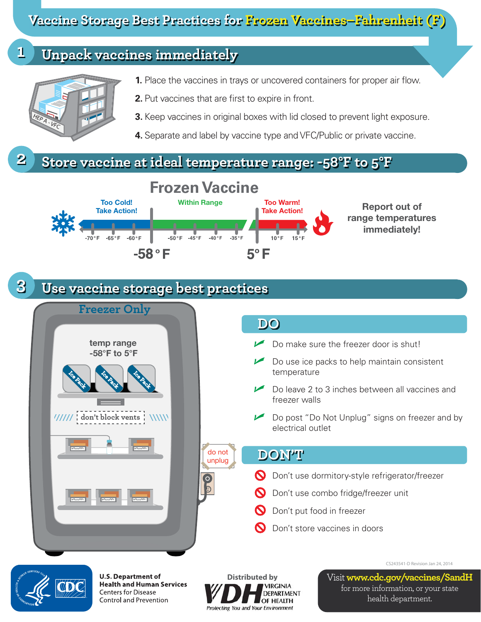**Vaccine Storage Best Practices for Frozen Vaccines–Fahrenheit (F)**

## **1 Unpack vaccines immediately**



- **1.** Place the vaccines in trays or uncovered containers for proper air flow.
- **2.** Put vaccines that are first to expire in front.
- **3.** Keep vaccines in original boxes with lid closed to prevent light exposure.
- **4.** Separate and label by vaccine type and VFC/Public or private vaccine.

## **2 Store vaccine at ideal temperature range: -58°F to 5°F**



## **3 Use vaccine storage best practices**



**U.S. Department of Health and Human Services Centers for Disease** Control and Prevention



**Distributed by** Visit **www.cdc.gov/vaccines/SandH** for more information, or your state health department.